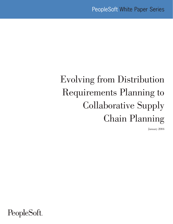# Evolving from Distribution Requirements Planning to Collaborative Supply Chain Planning

January 2004

PeopleSoft.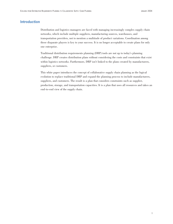# **Introduction**

Distribution and logistics managers are faced with managing increasingly complex supply chain networks, which include multiple suppliers, manufacturing sources, warehouses, and transportation providers, not to mention a multitude of product variations. Coordination among these disparate players is key to your success. It is no longer acceptable to create plans for only one enterprise.

Traditional distribution requirements planning (DRP) tools are not up to today's planning challenge. DRP creates distribution plans without considering the costs and constraints that exist within logistics networks. Furthermore, DRP isn't linked to the plans created by manufacturers, suppliers, or customers.

This white paper introduces the concept of collaborative supply chain planning as the logical evolution to replace traditional DRP and expand the planning process to include manufacturers, suppliers, and customers. The result is a plan that considers constraints such as supplier, production, storage, and transportation capacities. It is a plan that uses all resources and takes an end-to-end view of the supply chain.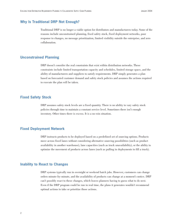# **Why Is Traditional DRP Not Enough?**

Traditional DRP is no longer a viable option for distributors and manufacturers today. Some of the reasons include unconstrained planning, fixed safety stock, fixed deployment networks, poor response to changes, no message prioritization, limited visibility outside the enterprise, and zero collaboration.

#### **Unconstrained Planning**

DRP doesn't consider the real constraints that exist within distribution networks. These constraints include limited transportation capacity and schedules, limited storage space, and the ability of manufacturers and suppliers to satisfy requirements. DRP simply generates a plan based on forecasted customer demand and safety stock policies and assumes the actions required to execute the plan will be taken.

# **Fixed Safety Stock**

DRP assumes safety stock levels are a fixed quantity. There is no ability to vary safety stock policies through time to maintain a constant service level. Sometimes there isn't enough inventory. Other times there is excess. It is a no-win situation.

#### **Fixed Deployment Network**

DRP instructs products to be deployed based on a predefined set of sourcing options. Products move across fixed lanes without considering alternative sourcing possibilities (such as product availability in another warehouse), lane capacities (such as truck unavailability), or the ability to optimize the movement of products across lanes (such as pulling in deployments to fill a truck).

#### **Inability to React to Changes**

DRP systems typically run in overnight or weekend batch jobs. However, customers can change orders minute-by-minute, and the availability of products can change at a moment's notice. DRP can't possibly react to these changes, which leaves planners having to guess what to do next. Even if the DRP program could be run in real time, the plans it generates wouldn't recommend optimal actions to take or prioritize those actions.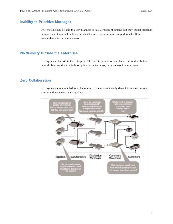# **Inability to Prioritize Messages**

DRP systems may be able to notify planners to take a variety of actions, but they cannot prioritize those actions. Important tasks go unnoticed while irrelevant tasks are performed with no measurable effect on the business.

# **No Visibility Outside the Enterprise**

DRP systems plan within the enterprise. The best installations can plan an entire distribution network, but they don't include suppliers, manufacturers, or customers in the process.

# **Zero Collaboration**

DRP systems aren't enabled for collaboration. Planners can't easily share information between sites or with customers and suppliers.

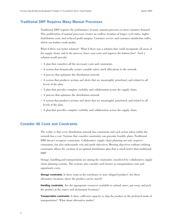# **Traditional DRP Requires Many Manual Processes**

Traditional DRP requires the performance of many manual processes to meet customer demand. This proliferation of manual processes creates an endless iteration of longer cycle times, higher distribution costs, and reduced profit margins. Customer service and customer satisfaction suffer, which can further erode profits.

What if there was better solution? What if there was a solution that could incorporate all areas of the supply chain, and in the process, lower your costs and improve the bottom line? Such a solution would provide:

- A plan that considers all the necessary costs and constraints.
- A system that dynamically creates variable safety stock allocations in the network.
- A process that optimizes the distribution network.
- A system that produces actions and alerts that are meaningful, prioritized, and related to all levels of the plan.
- A plan that provides complete visibility and collaboration across the supply chain.
- A process that optimizes the distribution network.
- A system that produces actions and alerts that are meaningful, prioritized, and related to all levels of the plan.
- A plan that provides complete visibility and collaboration across the supply chain.

# **Consider All Costs and Constraints**

The reality is that every distribution network has constraints and each action taken within the network has a cost. Systems that consider constraints can generate feasible plans. Traditional DRP doesn't recognize constraints. Collaborative supply chain planning not only respects constraints, but also understands cost and profit objectives. Meeting objectives without violating constraints allows the creation of an optimal distribution plan that is much better than traditional DRP.

Storage, handling,and transportation are among the constraints considered by collaborative supply chain planning systems. The systems also consider such factors as transportation costs and opportunity costs.

**Storage constraints.** Is there room in the warehouse to store shipped product? Are there alternative locations where the product can be stored?

**Handling constraints.** Are the appropriate resources available to unload, move, put away, and pick the product at the source and destination locations?

**Transportation constraints.** Is there sufficient capacity to ship the product in the preferred mode of transportation? What about alternative modes?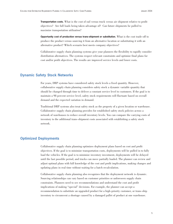**Transportation costs.** What is the cost of rail versus truck versus air shipment relative to profit objectives? Are full loads being taken advantage of? Can future shipments be pulled to maximize transportation utilization?

**Opportunity cost of production versus trans-shipment or substitution.** What is the cost trade-off to produce the product versus sourcing it from an alternative location or substituting it with an alternative product? Which scenario best meets company objectives?

Collaborative supply chain planning systems give your planners the flexibility to rapidly consider distribution alternatives. The systems respect relevant constraints and optimize final plans for cost and/or profit objectives. The results are improved service levels and lower costs.

# **Dynamic Safety Stock Networks**

For years, DRP systems have considered safety stock levels a fixed quantity. However, collaborative supply chain planning considers safety stock a dynamic variable quantity that should be changed through time to deliver a constant service level to customers. If the goal is to maintain a 98 percent service level, safety stock requirements will fluctuate based on overall demand and the expected variation in demand.

Traditional DRP systems also treat safety stock as the property of a given location or warehouse. Collaborative supply chain planning provides for established safety stock policies across a network of warehouses to reduce overall inventory levels. You can compare the carrying costs of inventory to the additional trans-shipment costs associated with establishing a safety stock network.

# **Optimized Deployments**

Collaborative supply chain planning optimizes deployment plans based on cost and profit objectives. If the goal is to minimize transportation costs, deployments will be pulled in to fully load the vehicles. If the goal is to minimize inventory investment, deployments will be delayed until the last possible period, and trucks can move partially loaded. The planner can review and adjust optimal plans with full knowledge of the cost and profit implications, making changes and updating plans in real time without waiting for a batch recalculation.

Collaborative supply chain planning also recognizes that the deployment network is dynamic. Sourcing relationships can vary based on customer priorities or unforeseen supply chain constraints. Planners need to see recommendations and understand the cost and profit implications of making "special" decisions. For example, the planner can accept a recommendation to substitute an upgraded product for a high-priority customer, or trans-ship inventory to circumvent a shortage caused by a damaged pallet of product at one warehouse.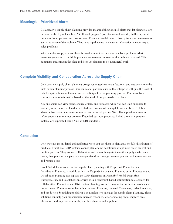# **Meaningful, Prioritized Alerts**

Collaborative supply chain planning provides meaningful, prioritized alerts that let planners solve the most critical problems first. "Multilevel pegging" provides instant visibility to the impact of problems both upstream and downstream. Planners can drill down directly from alert messages to get to the cause of the problem. They have rapid access to whatever information is necessary to solve problems.

With complex supply chains, there is usually more than one way to solve a problem. Alert messages generated to multiple planners are retracted as soon as the problem is solved. This minimizes thrashing in the plan and frees up planners to do meaningful work.

#### **Complete Visibility and Collaboration Across the Supply Chain**

Collaborative supply chain planning brings your suppliers, manufacturers, and customers into the distribution planning process. You can model partners outside the enterprise with just the level of detail required to make them an active participant in the planning process. Profiles of trust control access to information based on the level of the partnership in place.

Key customers can view plans, change orders, and forecasts, while you can limit suppliers to visibility of inventory on hand at selected warehouses with no update capabilities. Real-time alerts deliver action messages to internal and external parties. Web clients provide access to information via an internet browser. Extended business processes linked directly to partners' systems are supported using XML or EDI standards.

# **Conclusion**

DRP systems are outdated and ineffective when you use them to plan and schedule distribution of products. Traditional DRP systems cannot plan around constraints or optimize based on cost and profit objectives. They are not collaborative and cannot integrate the entire supply chain. As a result, they put your company at a competitive disadvantage because you cannot improve service and reduce costs.

PeopleSoft delivers collaborative supply chain planning with PeopleSoft Production and Distribution Planning, a module within the PeopleSoft Advanced Planning suite. Production and Distribution Planning can replace the DRP algorithms in PeopleSoft World, PeopleSoft EnterpriseOne, and PeopleSoft Enterprise with a constraint-based optimization tool enabled for collaboration. Production and Distribution Planning works in conjunction with other modules of the Advanced Planning suite, including Demand Planning, Demand Consensus, Order Promising, and Production Scheduling to deliver a comprehensive package for supply chain planning. These solutions can help your organization increase revenues, lower operating costs, improve asset utilization, and improve relationships with customers and suppliers.